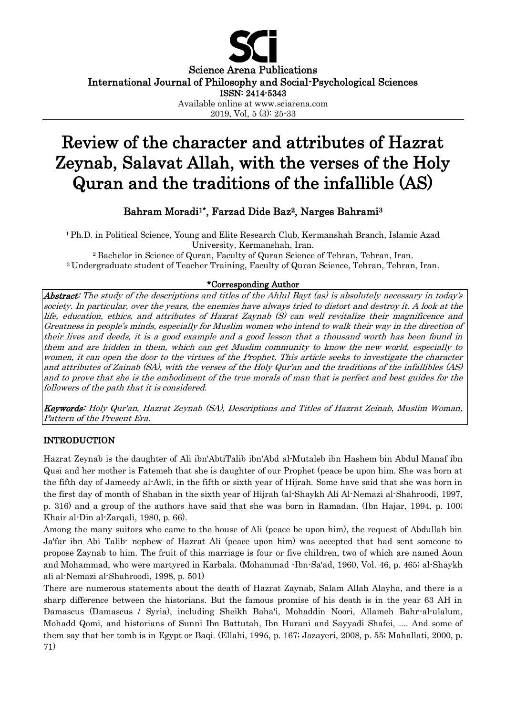

Science Arena Publications International Journal of Philosophy and Social-Psychological Sciences

ISSN: 2414-5343

Available online at www.sciarena.com

2019, Vol, 5 (3): 25-33

# Review of the character and attributes of Hazrat Zeynab, Salavat Allah, with the verses of the Holy Quran and the traditions of the infallible (AS)

# Bahram Moradi<sup>1\*</sup>, Farzad Dide Baz<sup>2</sup>, Narges Bahrami<sup>3</sup>

<sup>1</sup>Ph.D. in Political Science, Young and Elite Research Club, Kermanshah Branch, Islamic Azad University, Kermanshah, Iran.

<sup>2</sup>Bachelor in Science of Quran, Faculty of Quran Science of Tehran, Tehran, Iran. <sup>3</sup>Undergraduate student of Teacher Training, Faculty of Quran Science, Tehran, Tehran, Iran.

# \*Corresponding Author

Abstract: The study of the descriptions and titles of the Ahlul Bayt (as) is absolutely necessary in today's society. In particular, over the years, the enemies have always tried to distort and destroy it. A look at the life, education, ethics, and attributes of Hazrat Zaynab (S) can well revitalize their magnificence and Greatness in people's minds, especially for Muslim women who intend to walk their way in the direction of their lives and deeds, it is a good example and a good lesson that a thousand worth has been found in them and are hidden in them, which can get Muslim community to know the new world, especially to women, it can open the door to the virtues of the Prophet. This article seeks to investigate the character and attributes of Zainab (SA), with the verses of the Holy Qur'an and the traditions of the infallibles (AS) and to prove that she is the embodiment of the true morals of man that is perfect and best guides for the followers of the path that it is considered.

Keywords: Holy Qur'an, Hazrat Zeynab (SA), Descriptions and Titles of Hazrat Zeinab, Muslim Woman, Pattern of the Present Era.

# INTRODUCTION

Hazrat Zeynab is the daughter of Ali ibn'AbtiTalib ibn'Abd al-Mutaleb ibn Hashem bin Abdul Manaf ibn Qusī and her mother is Fatemeh that she is daughter of our Prophet (peace be upon him. She was born at the fifth day of Jameedy al-Awli, in the fifth or sixth year of Hijrah. Some have said that she was born in the first day of month of Shaban in the sixth year of Hijrah (al-Shaykh Ali Al-Nemazi al-Shahroodi, 1997, p. 316) and a group of the authors have said that she was born in Ramadan. (Ibn Hajar, 1994, p. 100; Khair al-Din al-Zarqali, 1980, p. 66).

Among the many suitors who came to the house of Ali (peace be upon him), the request of Abdullah bin Ja'far ibn Abi Talib- nephew of Hazrat Ali (peace upon him) was accepted that had sent someone to propose Zaynab to him. The fruit of this marriage is four or five children, two of which are named Aoun and Mohammad, who were martyred in Karbala. (Mohammad -Ibn-Sa'ad, 1960, Vol. 46, p. 465; al-Shaykh ali al-Nemazi al-Shahroodi, 1998, p. 501)

There are numerous statements about the death of Hazrat Zaynab, Salam Allah Alayha, and there is a sharp difference between the historians. But the famous promise of his death is in the year 63 AH in Damascus (Damascus / Syria), including Sheikh Baha'i, Mohaddin Noori, Allameh Bahr-al-ulalum, Mohadd Qomi, and historians of Sunni Ibn Battutah, Ibn Hurani and Sayyadi Shafei, .... And some of them say that her tomb is in Egypt or Baqi. (Ellahi, 1996, p. 167; Jazayeri, 2008, p. 55; Mahallati, 2000, p. 71)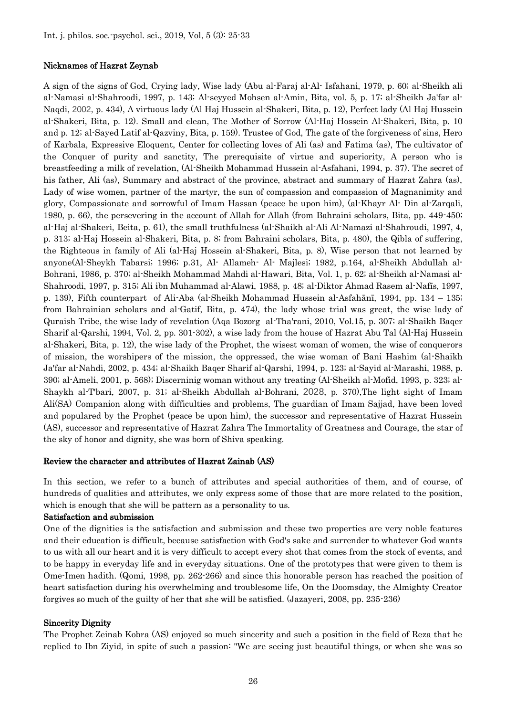#### Nicknames of Hazrat Zeynab

A sign of the signs of God, Crying lady, Wise lady (Abu al-Faraj al-Al- Isfahani, 1979, p. 60; al-Sheikh ali al-Namasi al-Shahroodi, 1997, p. 143; Al-seyyed Mohsen al-Amin, Bita, vol. 5, p. 17; al-Sheikh Ja'far al-Naqdi, 2002, p. 434), A virtuous lady (Al Haj Hussein al-Shakeri, Bita, p. 12), Perfect lady (Al Haj Hussein al-Shakeri, Bita, p. 12). Small and clean, The Mother of Sorrow (Al-Haj Hossein Al-Shakeri, Bita, p. 10 and p. 12; al-Sayed Latif al-Qazviny, Bita, p. 159). Trustee of God, The gate of the forgiveness of sins, Hero of Karbala, Expressive Eloquent, Center for collecting loves of Ali (as) and Fatima (as), The cultivator of the Conquer of purity and sanctity, The prerequisite of virtue and superiority, A person who is breastfeeding a milk of revelation, (Al-Sheikh Mohammad Hussein al-Asfahani, 1994, p. 37). The secret of his father, Ali (as), Summary and abstract of the province, abstract and summary of Hazrat Zahra (as), Lady of wise women, partner of the martyr, the sun of compassion and compassion of Magnanimity and glory, Compassionate and sorrowful of Imam Hassan (peace be upon him), (al-Khayr Al- Din al-Zarqali, 1980, p. 66), the persevering in the account of Allah for Allah (from Bahraini scholars, Bita, pp. 449-450; al-Haj al-Shakeri, Beita, p. 61), the small truthfulness (al-Shaikh al-Ali Al-Namazi al-Shahroudi, 1997, 4, p. 313; al-Haj Hossein al-Shakeri, Bita, p. 8; from Bahraini scholars, Bita, p. 480), the Qibla of suffering, the Righteous in family of Ali (al-Haj Hossein al-Shakeri, Bita, p. 8), Wise person that not learned by anyone(Al-Sheykh Tabarsi; 1996; p.31, Al- Allameh- Al- Majlesi; 1982, p.164, al-Sheikh Abdullah al-Bohrani, 1986, p. 370; al-Sheikh Mohammad Mahdi al-Hawari, Bita, Vol. 1, p. 62; al-Sheikh al-Namasi al-Shahroodi, 1997, p. 315; Ali ibn Muhammad al-Alawi, 1988, p. 48; al-Diktor Ahmad Rasem al-Nafīs, 1997, p. 139), Fifth counterpart of Ali-Aba (al-Sheikh Mohammad Hussein al-Asfahānī, 1994, pp. 134 – 135; from Bahrainian scholars and al-Gatif, Bita, p. 474), the lady whose trial was great, the wise lady of Quraish Tribe, the wise lady of revelation (Aqa Bozorg al-Tha'rani, 2010, Vol.15, p. 307; al-Shaikh Baqer Sharif al-Qarshi, 1994, Vol. 2, pp. 301-302), a wise lady from the house of Hazrat Abu Tal (Al-Haj Hussein al-Shakeri, Bita, p. 12), the wise lady of the Prophet, the wisest woman of women, the wise of conquerors of mission, the worshipers of the mission, the oppressed, the wise woman of Bani Hashim (al-Shaikh Ja'far al-Nahdi, 2002, p. 434; al-Shaikh Baqer Sharif al-Qarshi, 1994, p. 123; al-Sayid al-Marashi, 1988, p. 390; al-Ameli, 2001, p. 568); Discerninig woman without any treating (Al-Sheikh al-Mofid, 1993, p. 323; al-Shaykh al-T'bari, 2007, p. 31; al-Sheikh Abdullah al-Bohrani, 2028, p. 370),The light sight of Imam Ali(SA) Companion along with difficulties and problems, The guardian of Imam Sajjad, have been loved and populared by the Prophet (peace be upon him), the successor and representative of Hazrat Hussein (AS), successor and representative of Hazrat Zahra The Immortality of Greatness and Courage, the star of the sky of honor and dignity, she was born of Shiva speaking.

#### Review the character and attributes of Hazrat Zainab (AS)

In this section, we refer to a bunch of attributes and special authorities of them, and of course, of hundreds of qualities and attributes, we only express some of those that are more related to the position, which is enough that she will be pattern as a personality to us.

#### Satisfaction and submission

One of the dignities is the satisfaction and submission and these two properties are very noble features and their education is difficult, because satisfaction with God's sake and surrender to whatever God wants to us with all our heart and it is very difficult to accept every shot that comes from the stock of events, and to be happy in everyday life and in everyday situations. One of the prototypes that were given to them is Ome-Imen hadith. (Qomi, 1998, pp. 262-266) and since this honorable person has reached the position of heart satisfaction during his overwhelming and troublesome life, On the Doomsday, the Almighty Creator forgives so much of the guilty of her that she will be satisfied. (Jazayeri, 2008, pp. 235-236)

#### Sincerity Dignity

The Prophet Zeinab Kobra (AS) enjoyed so much sincerity and such a position in the field of Reza that he replied to Ibn Ziyid, in spite of such a passion: "We are seeing just beautiful things, or when she was so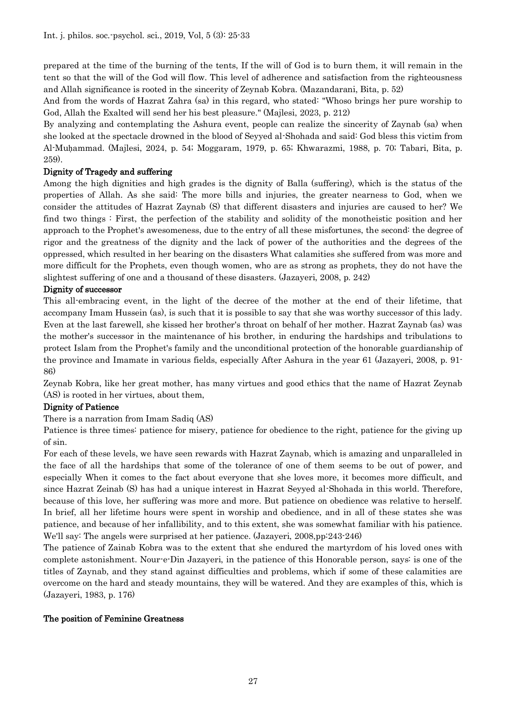prepared at the time of the burning of the tents, If the will of God is to burn them, it will remain in the tent so that the will of the God will flow. This level of adherence and satisfaction from the righteousness and Allah significance is rooted in the sincerity of Zeynab Kobra. (Mazandarani, Bita, p. 52)

And from the words of Hazrat Zahra (sa) in this regard, who stated: "Whoso brings her pure worship to God, Allah the Exalted will send her his best pleasure." (Majlesi, 2023, p. 212)

By analyzing and contemplating the Ashura event, people can realize the sincerity of Zaynab (sa) when she looked at the spectacle drowned in the blood of Seyyed al-Shohada and said: God bless this victim from Al-Muḥammad. (Majlesi, 2024, p. 54; Moggaram, 1979, p. 65; Khwarazmi, 1988, p. 70; Tabari, Bita, p. 259).

# Dignity of Tragedy and suffering

Among the high dignities and high grades is the dignity of Balla (suffering), which is the status of the properties of Allah. As she said: The more bills and injuries, the greater nearness to God, when we consider the attitudes of Hazrat Zaynab (S) that different disasters and injuries are caused to her? We find two things : First, the perfection of the stability and solidity of the monotheistic position and her approach to the Prophet's awesomeness, due to the entry of all these misfortunes, the second: the degree of rigor and the greatness of the dignity and the lack of power of the authorities and the degrees of the oppressed, which resulted in her bearing on the disasters What calamities she suffered from was more and more difficult for the Prophets, even though women, who are as strong as prophets, they do not have the slightest suffering of one and a thousand of these disasters. (Jazayeri, 2008, p. 242)

# Dignity of successor

This all-embracing event, in the light of the decree of the mother at the end of their lifetime, that accompany Imam Hussein (as), is such that it is possible to say that she was worthy successor of this lady. Even at the last farewell, she kissed her brother's throat on behalf of her mother. Hazrat Zaynab (as) was the mother's successor in the maintenance of his brother, in enduring the hardships and tribulations to protect Islam from the Prophet's family and the unconditional protection of the honorable guardianship of the province and Imamate in various fields, especially After Ashura in the year 61 (Jazayeri, 2008, p. 91- 86)

Zeynab Kobra, like her great mother, has many virtues and good ethics that the name of Hazrat Zeynab (AS) is rooted in her virtues, about them,

# Dignity of Patience

There is a narration from Imam Sadiq (AS)

Patience is three times: patience for misery, patience for obedience to the right, patience for the giving up of sin.

For each of these levels, we have seen rewards with Hazrat Zaynab, which is amazing and unparalleled in the face of all the hardships that some of the tolerance of one of them seems to be out of power, and especially When it comes to the fact about everyone that she loves more, it becomes more difficult, and since Hazrat Zeinab (S) has had a unique interest in Hazrat Seyyed al-Shohada in this world. Therefore, because of this love, her suffering was more and more. But patience on obedience was relative to herself. In brief, all her lifetime hours were spent in worship and obedience, and in all of these states she was patience, and because of her infallibility, and to this extent, she was somewhat familiar with his patience. We'll say: The angels were surprised at her patience. (Jazayeri, 2008,pp:243-246)

The patience of Zainab Kobra was to the extent that she endured the martyrdom of his loved ones with complete astonishment. Nour-e-Din Jazayeri, in the patience of this Honorable person, says: is one of the titles of Zaynab, and they stand against difficulties and problems, which if some of these calamities are overcome on the hard and steady mountains, they will be watered. And they are examples of this, which is (Jazayeri, 1983, p. 176)

#### The position of Feminine Greatness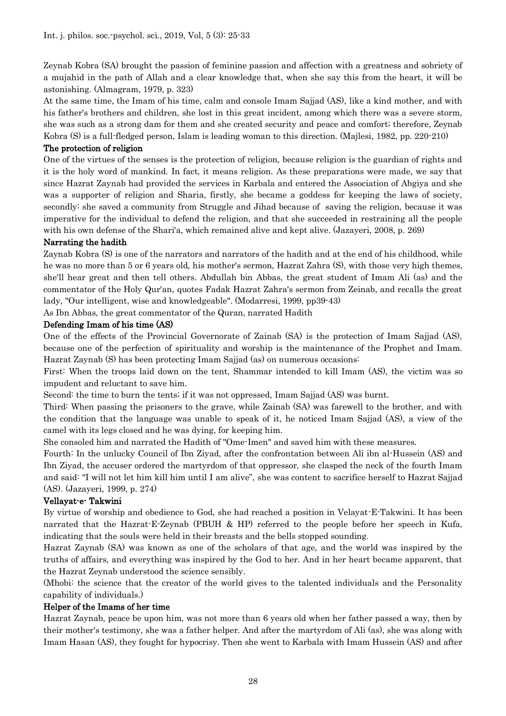Zeynab Kobra (SA) brought the passion of feminine passion and affection with a greatness and sobriety of a mujahid in the path of Allah and a clear knowledge that, when she say this from the heart, it will be astonishing. (Almagram, 1979, p. 323)

At the same time, the Imam of his time, calm and console Imam Sajjad (AS), like a kind mother, and with his father's brothers and children, she lost in this great incident, among which there was a severe storm, she was such as a strong dam for them and she created security and peace and comfort; therefore, Zeynab Kobra (S) is a full-fledged person, Islam is leading woman to this direction. (Majlesi, 1982, pp. 220-210)

#### The protection of religion

One of the virtues of the senses is the protection of religion, because religion is the guardian of rights and it is the holy word of mankind. In fact, it means religion. As these preparations were made, we say that since Hazrat Zaynab had provided the services in Karbala and entered the Association of Abgiya and she was a supporter of religion and Sharia, firstly, she became a goddess for keeping the laws of society, secondly: she saved a community from Struggle and Jihad because of saving the religion, because it was imperative for the individual to defend the religion, and that she succeeded in restraining all the people with his own defense of the Shari'a, which remained alive and kept alive. (Jazayeri, 2008, p. 269)

#### Narrating the hadith

Zaynab Kobra (S) is one of the narrators and narrators of the hadith and at the end of his childhood, while he was no more than 5 or 6 years old, his mother's sermon, Hazrat Zahra (S), with those very high themes, she'll hear great and then tell others. Abdullah bin Abbas, the great student of Imam Ali (as) and the commentator of the Holy Qur'an, quotes Fadak Hazrat Zahra's sermon from Zeinab, and recalls the great lady, "Our intelligent, wise and knowledgeable". (Modarresi, 1999, pp39-43)

As Ibn Abbas, the great commentator of the Quran, narrated Hadith

#### Defending Imam of his time (AS)

One of the effects of the Provincial Governorate of Zainab (SA) is the protection of Imam Sajjad (AS), because one of the perfection of spirituality and worship is the maintenance of the Prophet and Imam. Hazrat Zaynab (S) has been protecting Imam Sajjad (as) on numerous occasions:

First: When the troops laid down on the tent, Shammar intended to kill Imam (AS), the victim was so impudent and reluctant to save him.

Second: the time to burn the tents; if it was not oppressed, Imam Sajjad (AS) was burnt.

Third: When passing the prisoners to the grave, while Zainab (SA) was farewell to the brother, and with the condition that the language was unable to speak of it, he noticed Imam Sajjad (AS), a view of the camel with its legs closed and he was dying, for keeping him.

She consoled him and narrated the Hadith of "Ome-Imen" and saved him with these measures.

Fourth: In the unlucky Council of Ibn Ziyad, after the confrontation between Ali ibn al-Hussein (AS) and Ibn Ziyad, the accuser ordered the martyrdom of that oppressor, she clasped the neck of the fourth Imam and said: "I will not let him kill him until I am alive", she was content to sacrifice herself to Hazrat Sajjad (AS). (Jazayeri, 1999, p. 274)

#### Vellayat-e- Takwini

By virtue of worship and obedience to God, she had reached a position in Velayat-E-Takwini. It has been narrated that the Hazrat-E-Zeynab (PBUH & HP) referred to the people before her speech in Kufa, indicating that the souls were held in their breasts and the bells stopped sounding.

Hazrat Zaynab (SA) was known as one of the scholars of that age, and the world was inspired by the truths of affairs, and everything was inspired by the God to her. And in her heart became apparent, that the Hazrat Zeynab understood the science sensibly.

(Mhobi: the science that the creator of the world gives to the talented individuals and the Personality capability of individuals.)

#### Helper of the Imams of her time

Hazrat Zaynab, peace be upon him, was not more than 6 years old when her father passed a way, then by their mother's testimony, she was a father helper. And after the martyrdom of Ali (as), she was along with Imam Hasan (AS), they fought for hypocrisy. Then she went to Karbala with Imam Hussein (AS) and after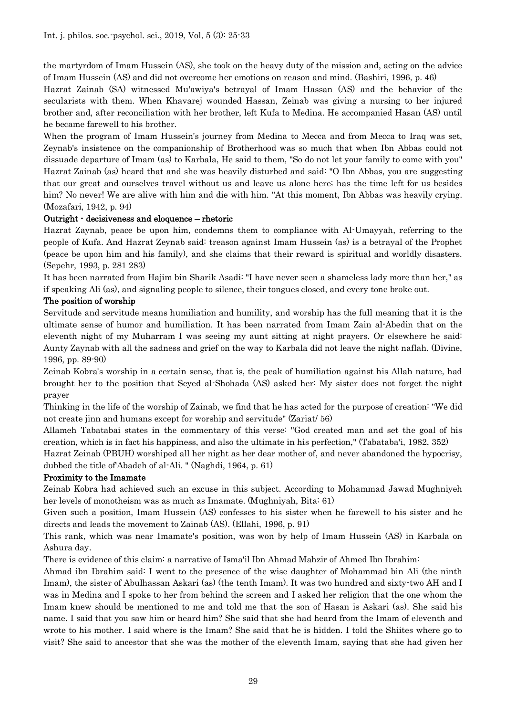the martyrdom of Imam Hussein (AS), she took on the heavy duty of the mission and, acting on the advice of Imam Hussein (AS) and did not overcome her emotions on reason and mind. (Bashiri, 1996, p. 46)

Hazrat Zainab (SA) witnessed Mu'awiya's betrayal of Imam Hassan (AS) and the behavior of the secularists with them. When Khavarej wounded Hassan, Zeinab was giving a nursing to her injured brother and, after reconciliation with her brother, left Kufa to Medina. He accompanied Hasan (AS) until he became farewell to his brother.

When the program of Imam Hussein's journey from Medina to Mecca and from Mecca to Iraq was set, Zeynab's insistence on the companionship of Brotherhood was so much that when Ibn Abbas could not dissuade departure of Imam (as) to Karbala, He said to them, "So do not let your family to come with you" Hazrat Zainab (as) heard that and she was heavily disturbed and said: "O Ibn Abbas, you are suggesting that our great and ourselves travel without us and leave us alone here; has the time left for us besides him? No never! We are alive with him and die with him. "At this moment, Ibn Abbas was heavily crying. (Mozafari, 1942, p. 94)

# Outright - decisiveness and eloquence – rhetoric

Hazrat Zaynab, peace be upon him, condemns them to compliance with Al-Umayyah, referring to the people of Kufa. And Hazrat Zeynab said: treason against Imam Hussein (as) is a betrayal of the Prophet (peace be upon him and his family), and she claims that their reward is spiritual and worldly disasters. (Sepehr, 1993, p. 281 283)

It has been narrated from Hajim bin Sharik Asadi: "I have never seen a shameless lady more than her," as if speaking Ali (as), and signaling people to silence, their tongues closed, and every tone broke out.

# The position of worship

Servitude and servitude means humiliation and humility, and worship has the full meaning that it is the ultimate sense of humor and humiliation. It has been narrated from Imam Zain al-Abedin that on the eleventh night of my Muharram I was seeing my aunt sitting at night prayers. Or elsewhere he said: Aunty Zaynab with all the sadness and grief on the way to Karbala did not leave the night naflah. (Divine, 1996, pp. 89-90)

Zeinab Kobra's worship in a certain sense, that is, the peak of humiliation against his Allah nature, had brought her to the position that Seyed al-Shohada (AS) asked her: My sister does not forget the night prayer

Thinking in the life of the worship of Zainab, we find that he has acted for the purpose of creation: "We did not create jinn and humans except for worship and servitude" (Zariat/ 56)

Allameh Tabatabai states in the commentary of this verse: "God created man and set the goal of his creation, which is in fact his happiness, and also the ultimate in his perfection," (Tabataba'i, 1982, 352)

Hazrat Zeinab (PBUH) worshiped all her night as her dear mother of, and never abandoned the hypocrisy, dubbed the title of'Abadeh of al-Ali. " (Naghdi, 1964, p. 61)

# Proximity to the Imamate

Zeinab Kobra had achieved such an excuse in this subject. According to Mohammad Jawad Mughniyeh her levels of monotheism was as much as Imamate. (Mughniyah, Bita: 61)

Given such a position, Imam Hussein (AS) confesses to his sister when he farewell to his sister and he directs and leads the movement to Zainab (AS). (Ellahi, 1996, p. 91)

This rank, which was near Imamate's position, was won by help of Imam Hussein (AS) in Karbala on Ashura day.

There is evidence of this claim: a narrative of Isma'il Ibn Ahmad Mahzir of Ahmed Ibn Ibrahim:

Ahmad ibn Ibrahim said: I went to the presence of the wise daughter of Mohammad bin Ali (the ninth Imam), the sister of Abulhassan Askari (as) (the tenth Imam). It was two hundred and sixty-two AH and I was in Medina and I spoke to her from behind the screen and I asked her religion that the one whom the Imam knew should be mentioned to me and told me that the son of Hasan is Askari (as). She said his name. I said that you saw him or heard him? She said that she had heard from the Imam of eleventh and wrote to his mother. I said where is the Imam? She said that he is hidden. I told the Shiites where go to visit? She said to ancestor that she was the mother of the eleventh Imam, saying that she had given her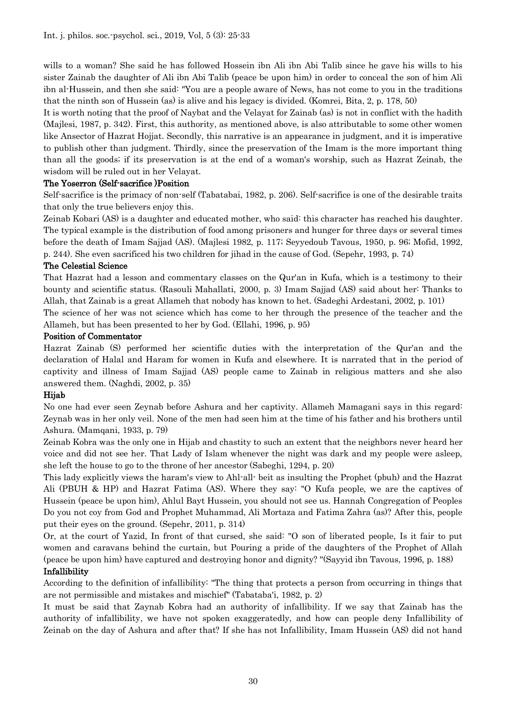wills to a woman? She said he has followed Hossein ibn Ali ibn Abi Talib since he gave his wills to his sister Zainab the daughter of Ali ibn Abi Talib (peace be upon him) in order to conceal the son of him Ali ibn al-Hussein, and then she said: "You are a people aware of News, has not come to you in the traditions that the ninth son of Hussein (as) is alive and his legacy is divided. (Komrei, Bita, 2, p. 178, 50)

It is worth noting that the proof of Naybat and the Velayat for Zainab (as) is not in conflict with the hadith (Majlesi, 1987, p. 342). First, this authority, as mentioned above, is also attributable to some other women like Ansector of Hazrat Hojjat. Secondly, this narrative is an appearance in judgment, and it is imperative to publish other than judgment. Thirdly, since the preservation of the Imam is the more important thing than all the goods; if its preservation is at the end of a woman's worship, such as Hazrat Zeinab, the wisdom will be ruled out in her Velayat.

# The Yoserron (Self-sacrifice )Position

Self-sacrifice is the primacy of non-self (Tabatabai, 1982, p. 206). Self-sacrifice is one of the desirable traits that only the true believers enjoy this.

Zeinab Kobari (AS) is a daughter and educated mother, who said: this character has reached his daughter. The typical example is the distribution of food among prisoners and hunger for three days or several times before the death of Imam Sajjad (AS). (Majlesi 1982, p. 117; Seyyedoub Tavous, 1950, p. 96; Mofid, 1992, p. 244). She even sacrificed his two children for jihad in the cause of God. (Sepehr, 1993, p. 74)

#### The Celestial Science

That Hazrat had a lesson and commentary classes on the Qur'an in Kufa, which is a testimony to their bounty and scientific status. (Rasouli Mahallati, 2000, p. 3) Imam Sajjad (AS) said about her: Thanks to Allah, that Zainab is a great Allameh that nobody has known to het. (Sadeghi Ardestani, 2002, p. 101)

The science of her was not science which has come to her through the presence of the teacher and the Allameh, but has been presented to her by God. (Ellahi, 1996, p. 95)

#### Position of Commentator

Hazrat Zainab (S) performed her scientific duties with the interpretation of the Qur'an and the declaration of Halal and Haram for women in Kufa and elsewhere. It is narrated that in the period of captivity and illness of Imam Sajjad (AS) people came to Zainab in religious matters and she also answered them. (Naghdi, 2002, p. 35)

# Hijab

No one had ever seen Zeynab before Ashura and her captivity. Allameh Mamagani says in this regard: Zeynab was in her only veil. None of the men had seen him at the time of his father and his brothers until Ashura. (Mamqani, 1933, p. 79)

Zeinab Kobra was the only one in Hijab and chastity to such an extent that the neighbors never heard her voice and did not see her. That Lady of Islam whenever the night was dark and my people were asleep, she left the house to go to the throne of her ancestor (Sabeghi, 1294, p. 20)

This lady explicitly views the haram's view to Ahl-all- beit as insulting the Prophet (pbuh) and the Hazrat Ali (PBUH & HP) and Hazrat Fatima (AS). Where they say: "O Kufa people, we are the captives of Hussein (peace be upon him), Ahlul Bayt Hussein, you should not see us. Hannah Congregation of Peoples Do you not coy from God and Prophet Muhammad, Ali Mortaza and Fatima Zahra (as)? After this, people put their eyes on the ground. (Sepehr, 2011, p. 314)

Or, at the court of Yazid, In front of that cursed, she said: "O son of liberated people, Is it fair to put women and caravans behind the curtain, but Pouring a pride of the daughters of the Prophet of Allah (peace be upon him) have captured and destroying honor and dignity? "(Sayyid ibn Tavous, 1996, p. 188)

# Infallibility

According to the definition of infallibility: "The thing that protects a person from occurring in things that are not permissible and mistakes and mischief" (Tabataba'i, 1982, p. 2)

It must be said that Zaynab Kobra had an authority of infallibility. If we say that Zainab has the authority of infallibility, we have not spoken exaggeratedly, and how can people deny Infallibility of Zeinab on the day of Ashura and after that? If she has not Infallibility, Imam Hussein (AS) did not hand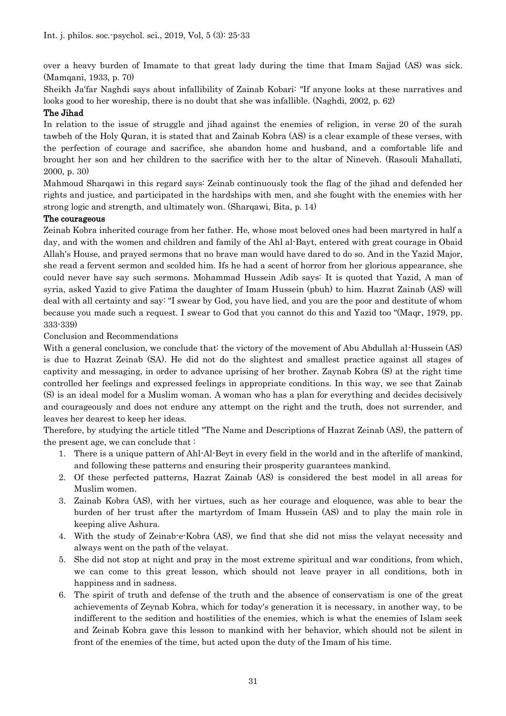over a heavy burden of Imamate to that great lady during the time that Imam Sajjad (AS) was sick. (Mamqani, 1933, p. 70)

Sheikh Ja'far Naghdi says about infallibility of Zainab Kobari: "If anyone looks at these narratives and looks good to her woreship, there is no doubt that she was infallible. (Naghdi, 2002, p. 62)

# The Jihad

In relation to the issue of struggle and jihad against the enemies of religion, in verse 20 of the surah tawbeh of the Holy Quran, it is stated that and Zainab Kobra (AS) is a clear example of these verses, with the perfection of courage and sacrifice, she abandon home and husband, and a comfortable life and brought her son and her children to the sacrifice with her to the altar of Nineveh. (Rasouli Mahallati, 2000, p. 30)

Mahmoud Sharqawi in this regard says: Zeinab continuously took the flag of the jihad and defended her rights and justice, and participated in the hardships with men, and she fought with the enemies with her strong logic and strength, and ultimately won. (Sharqawi, Bita, p. 14)

# The courageous

Zeinab Kobra inherited courage from her father. He, whose most beloved ones had been martyred in half a day, and with the women and children and family of the Ahl al-Bayt, entered with great courage in Obaid Allah's House, and prayed sermons that no brave man would have dared to do so. And in the Yazid Major, she read a fervent sermon and scolded him. Ifs he had a scent of horror from her glorious appearance, she could never have say such sermons. Mohammad Hussein Adib says: It is quoted that Yazid, A man of syria, asked Yazid to give Fatima the daughter of Imam Hussein (pbuh) to him. Hazrat Zainab (AS) will deal with all certainty and say: "I swear by God, you have lied, and you are the poor and destitute of whom because you made such a request. I swear to God that you cannot do this and Yazid too "(Maqr, 1979, pp. 333-339)

# Conclusion and Recommendations

With a general conclusion, we conclude that: the victory of the movement of Abu Abdullah al-Hussein (AS) is due to Hazrat Zeinab (SA). He did not do the slightest and smallest practice against all stages of captivity and messaging, in order to advance uprising of her brother. Zaynab Kobra (S) at the right time controlled her feelings and expressed feelings in appropriate conditions. In this way, we see that Zainab (S) is an ideal model for a Muslim woman. A woman who has a plan for everything and decides decisively and courageously and does not endure any attempt on the right and the truth, does not surrender, and leaves her dearest to keep her ideas.

Therefore, by studying the article titled "The Name and Descriptions of Hazrat Zeinab (AS), the pattern of the present age, we can conclude that :

- 1. There is a unique pattern of Ahl-Al-Beyt in every field in the world and in the afterlife of mankind, and following these patterns and ensuring their prosperity guarantees mankind.
- 2. Of these perfected patterns, Hazrat Zainab (AS) is considered the best model in all areas for Muslim women.
- 3. Zainab Kobra (AS), with her virtues, such as her courage and eloquence, was able to bear the burden of her trust after the martyrdom of Imam Hussein (AS) and to play the main role in keeping alive Ashura.
- 4. With the study of Zeinab-e-Kobra (AS), we find that she did not miss the velayat necessity and always went on the path of the velayat.
- 5. She did not stop at night and pray in the most extreme spiritual and war conditions, from which, we can come to this great lesson, which should not leave prayer in all conditions, both in happiness and in sadness.
- 6. The spirit of truth and defense of the truth and the absence of conservatism is one of the great achievements of Zeynab Kobra, which for today's generation it is necessary, in another way, to be indifferent to the sedition and hostilities of the enemies, which is what the enemies of Islam seek and Zeinab Kobra gave this lesson to mankind with her behavior, which should not be silent in front of the enemies of the time, but acted upon the duty of the Imam of his time.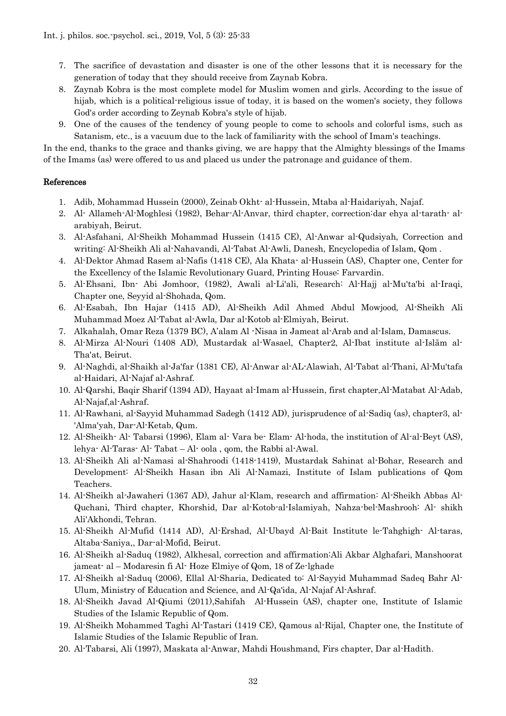- 7. The sacrifice of devastation and disaster is one of the other lessons that it is necessary for the generation of today that they should receive from Zaynab Kobra.
- 8. Zaynab Kobra is the most complete model for Muslim women and girls. According to the issue of hijab, which is a political-religious issue of today, it is based on the women's society, they follows God's order according to Zeynab Kobra's style of hijab.
- 9. One of the causes of the tendency of young people to come to schools and colorful isms, such as Satanism, etc., is a vacuum due to the lack of familiarity with the school of Imam's teachings.

In the end, thanks to the grace and thanks giving, we are happy that the Almighty blessings of the Imams of the Imams (as) were offered to us and placed us under the patronage and guidance of them.

# References

- 1. Adib, Mohammad Hussein (2000), Zeinab Okht- al-Hussein, Mtaba al-Haidariyah, Najaf.
- 2. Al- Allameh-Al-Moghlesi (1982), Behar-Al-Anvar, third chapter, correction:dar ehya al-tarath- alarabiyah, Beirut.
- 3. Al-Asfahani, Al-Sheikh Mohammad Hussein (1415 CE), Al-Anwar al-Qudsiyah, Correction and writing: Al-Sheikh Ali al-Nahavandi, Al-Tabat Al-Awli, Danesh, Encyclopedia of Islam, Qom .
- 4. Al-Dektor Ahmad Rasem al-Nafis (1418 CE), Ala Khata- al-Hussein (AS), Chapter one, Center for the Excellency of the Islamic Revolutionary Guard, Printing House: Farvardin.
- 5. Al-Ehsani, Ibn- Abi Jomhoor, (1982), Awali al-Li'ali, Research: Al-Hajj al-Mu'ta'bi al-Iraqi, Chapter one, Seyyid al-Shohada, Qom.
- 6. Al-Esabah, Ibn Hajar (1415 AD), Al-Sheikh Adil Ahmed Abdul Mowjood, Al-Sheikh Ali Muhammad Moez Al-Tabat al-Awla, Dar al-Kotob al-Elmiyah, Beirut.
- 7. Alkahalah, Omar Reza (1379 BC), A'alam Al -Nisaa in Jameat al-Arab and al-Islam, Damascus.
- 8. Al-Mirza Al-Nouri (1408 AD), Mustardak al-Wasael, Chapter2, Al-Ibat institute al-Islām al-Tha'at, Beirut.
- 9. Al-Naghdi, al-Shaikh al-Ja'far (1381 CE), Al-Anwar al-AL-Alawiah, Al-Tabat al-Thani, Al-Mu'tafa al-Haidari, Al-Najaf al-Ashraf.
- 10. Al-Qarshi, Baqir Sharif (1394 AD), Hayaat al-Imam al-Hussein, first chapter,Al-Matabat Al-Adab, Al-Najaf,al-Ashraf.
- 11. Al-Rawhani, al-Sayyid Muhammad Sadegh (1412 AD), jurisprudence of al-Sadiq (as), chapter3, al- 'Alma'yah, Dar-Al-Ketab, Qum.
- 12. Al-Sheikh- Al- Tabarsi (1996), Elam al- Vara be- Elam- Al-hoda, the institution of Al-al-Beyt (AS), lehya- Al-Taras- Al- Tabat – Al- oola , qom, the Rabbi al-Awal.
- 13. Al-Sheikh Ali al-Namasi al-Shahroodi (1418-1419), Mustardak Sahinat al-Bohar, Research and Development: Al-Sheikh Hasan ibn Ali Al-Namazi, Institute of Islam publications of Qom Teachers.
- 14. Al-Sheikh al-Jawaheri (1367 AD), Jahur al-Klam, research and affirmation: Al-Sheikh Abbas Al-Quchani, Third chapter, Khorshid, Dar al-Kotob-al-Islamiyah, Nahza-bel-Mashrooh: Al- shikh Ali'Akhondi, Tehran.
- 15. Al-Sheikh Al-Mufid (1414 AD), Al-Ershad, Al-Ubayd Al-Bait Institute le-Tahghigh- Al-taras, Altaba-Saniya,, Dar-al-Mofid, Beirut.
- 16. Al-Sheikh al-Saduq (1982), Alkhesal, correction and affirmation:Ali Akbar Alghafari, Manshoorat jameat- al – Modaresin fi Al- Hoze Elmiye of Qom, 18 of Ze-lghade
- 17. Al-Sheikh al-Saduq (2006), Ellal Al-Sharia, Dedicated to: Al-Sayyid Muhammad Sadeq Bahr Al-Ulum, Ministry of Education and Science, and Al-Qa'ida, Al-Najaf Al-Ashraf.
- 18. Al-Sheikh Javad Al-Qiumi (2011),Sahifah Al-Hussein (AS), chapter one, Institute of Islamic Studies of the Islamic Republic of Qom.
- 19. Al-Sheikh Mohammed Taghi Al-Tastari (1419 CE), Qamous al-Rijal, Chapter one, the Institute of Islamic Studies of the Islamic Republic of Iran.
- 20. Al-Tabarsi, Ali (1997), Maskata al-Anwar, Mahdi Houshmand, Firs chapter, Dar al-Hadith.